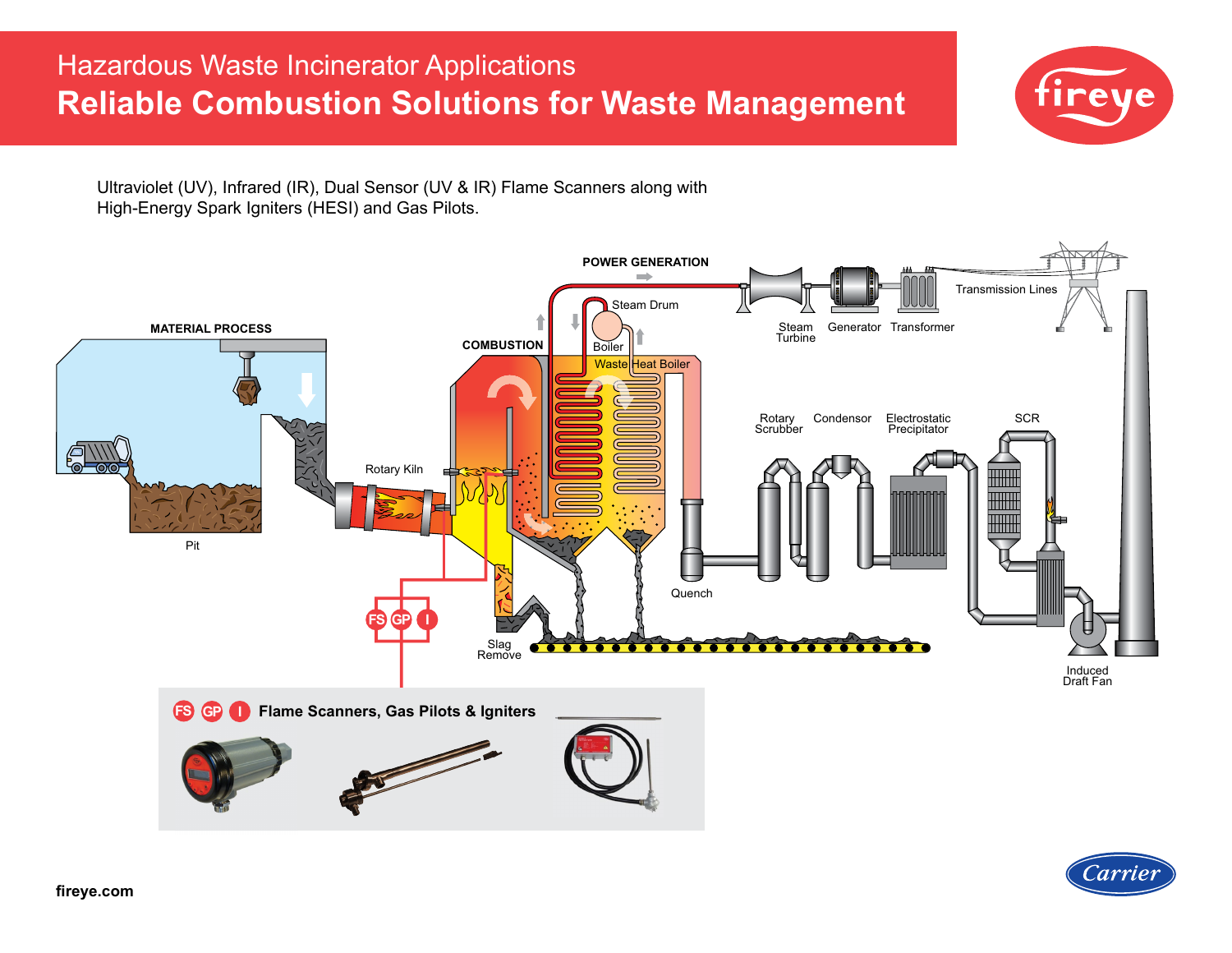# Hazardous Waste Incinerator Applications **Reliable Combustion Solutions for Waste Management**



Ultraviolet (UV), Infrared (IR), Dual Sensor (UV & IR) Flame Scanners along with High-Energy Spark Igniters (HESI) and Gas Pilots.